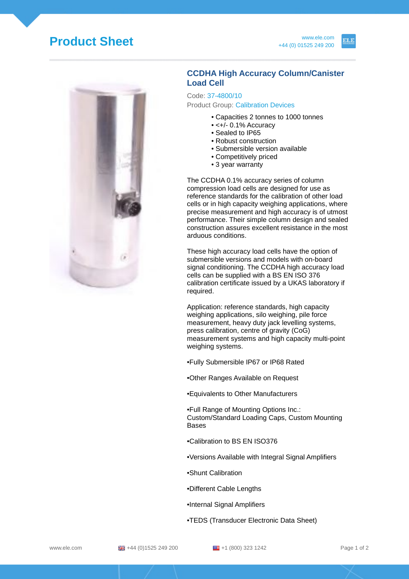## **Product Sheet** www.ele.com



## **CCDHA High Accuracy Column/Canister Load Cell**

Code: 37-4800/10 Product Group: Calibration Devices

- Capacities 2 tonnes to 1000 tonnes
- $\cdot$  <+/- 0.1% Accuracy
- Sealed to IP65
- Robust construction
- Submersible version available
- Competitively priced
- 3 year warranty

The CCDHA 0.1% accuracy series of column compression load cells are designed for use as reference standards for the calibration of other load cells or in high capacity weighing applications, where precise measurement and high accuracy is of utmost performance. Their simple column design and sealed construction assures excellent resistance in the most arduous conditions.

These high accuracy load cells have the option of submersible versions and models with on-board signal conditioning. The CCDHA high accuracy load cells can be supplied with a BS EN ISO 376 calibration certificate issued by a UKAS laboratory if required.

Application: reference standards, high capacity weighing applications, silo weighing, pile force measurement, heavy duty jack levelling systems, press calibration, centre of gravity (CoG) measurement systems and high capacity multi-point weighing systems.

•Fully Submersible IP67 or IP68 Rated

•Other Ranges Available on Request

•Equivalents to Other Manufacturers

•Full Range of Mounting Options Inc.: Custom/Standard Loading Caps, Custom Mounting Bases

- •Calibration to BS EN ISO376
- •Versions Available with Integral Signal Amplifiers
- •Shunt Calibration
- •Different Cable Lengths
- •Internal Signal Amplifiers
- •TEDS (Transducer Electronic Data Sheet)